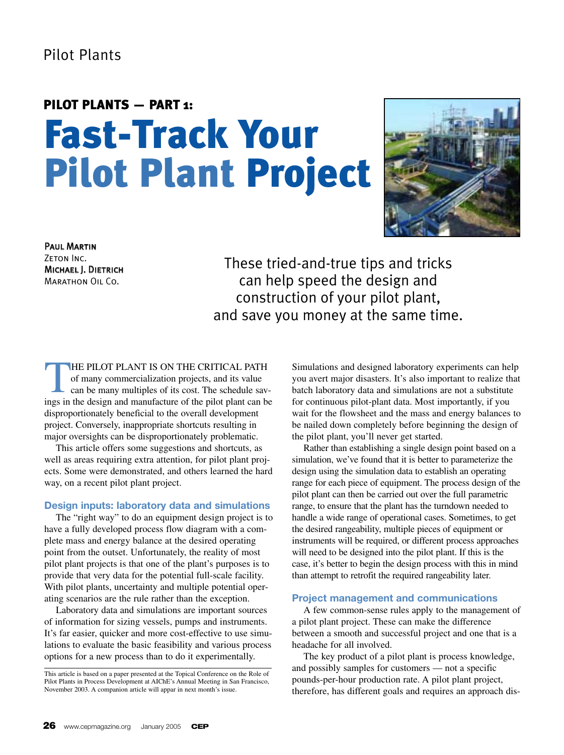## Pilot Plants

# PILOT PLANTS — PART 1: Fast-Track Your Pilot Plant Project



Paul Martin ZETON INC. Michael J. Dietrich Marathon Oil Co.

These tried-and-true tips and tricks can help speed the design and construction of your pilot plant, and save you money at the same time.

THE PILOT PLANT IS ON THE CRITICAL PATH<br>of many commercialization projects, and its value<br>can be many multiples of its cost. The schedule sav-<br>ings in the design and manufacture of the pilot plant can be of many commercialization projects, and its value ings in the design and manufacture of the pilot plant can be disproportionately beneficial to the overall development project. Conversely, inappropriate shortcuts resulting in major oversights can be disproportionately problematic.

This article offers some suggestions and shortcuts, as well as areas requiring extra attention, for pilot plant projects. Some were demonstrated, and others learned the hard way, on a recent pilot plant project.

#### **Design inputs: laboratory data and simulations**

The "right way" to do an equipment design project is to have a fully developed process flow diagram with a complete mass and energy balance at the desired operating point from the outset. Unfortunately, the reality of most pilot plant projects is that one of the plant's purposes is to provide that very data for the potential full-scale facility. With pilot plants, uncertainty and multiple potential operating scenarios are the rule rather than the exception.

Laboratory data and simulations are important sources of information for sizing vessels, pumps and instruments. It's far easier, quicker and more cost-effective to use simulations to evaluate the basic feasibility and various process options for a new process than to do it experimentally.

Simulations and designed laboratory experiments can help you avert major disasters. It's also important to realize that batch laboratory data and simulations are not a substitute for continuous pilot-plant data. Most importantly, if you wait for the flowsheet and the mass and energy balances to be nailed down completely before beginning the design of the pilot plant, you'll never get started.

Rather than establishing a single design point based on a simulation, we've found that it is better to parameterize the design using the simulation data to establish an operating range for each piece of equipment. The process design of the pilot plant can then be carried out over the full parametric range, to ensure that the plant has the turndown needed to handle a wide range of operational cases. Sometimes, to get the desired rangeability, multiple pieces of equipment or instruments will be required, or different process approaches will need to be designed into the pilot plant. If this is the case, it's better to begin the design process with this in mind than attempt to retrofit the required rangeability later.

#### **Project management and communications**

A few common-sense rules apply to the management of a pilot plant project. These can make the difference between a smooth and successful project and one that is a headache for all involved.

The key product of a pilot plant is process knowledge, and possibly samples for customers — not a specific pounds-per-hour production rate. A pilot plant project, therefore, has different goals and requires an approach dis-

This article is based on a paper presented at the Topical Conference on the Role of Pilot Plants in Process Development at AIChE's Annual Meeting in San Francisco, November 2003. A companion article will appar in next month's issue.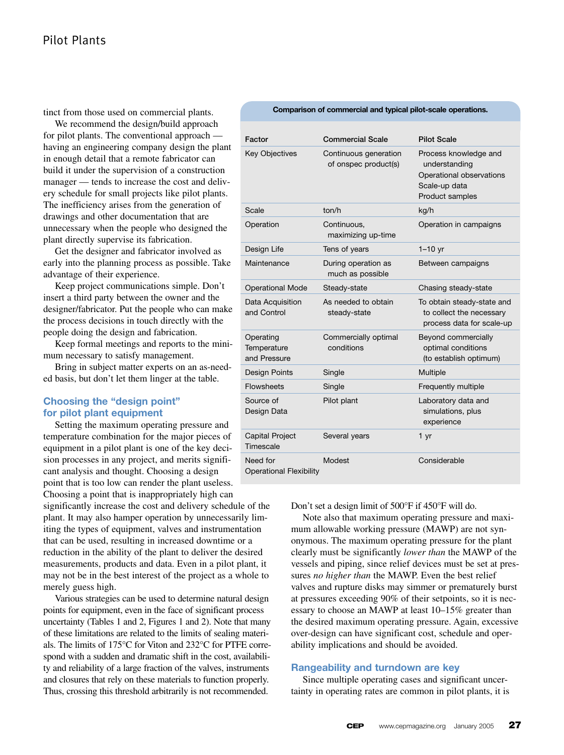tinct from those used on commercial plants.

We recommend the design/build approach for pilot plants. The conventional approach having an engineering company design the plant in enough detail that a remote fabricator can build it under the supervision of a construction manager — tends to increase the cost and delivery schedule for small projects like pilot plants. The inefficiency arises from the generation of drawings and other documentation that are unnecessary when the people who designed the plant directly supervise its fabrication.

Get the designer and fabricator involved as early into the planning process as possible. Take advantage of their experience.

Keep project communications simple. Don't insert a third party between the owner and the designer/fabricator. Put the people who can make the process decisions in touch directly with the people doing the design and fabrication.

Keep formal meetings and reports to the minimum necessary to satisfy management.

Bring in subject matter experts on an as-needed basis, but don't let them linger at the table.

#### **Choosing the "design point" for pilot plant equipment**

Setting the maximum operating pressure and temperature combination for the major pieces of equipment in a pilot plant is one of the key decision processes in any project, and merits significant analysis and thought. Choosing a design point that is too low can render the plant useless.

Choosing a point that is inappropriately high can significantly increase the cost and delivery schedule of the plant. It may also hamper operation by unnecessarily limiting the types of equipment, valves and instrumentation that can be used, resulting in increased downtime or a reduction in the ability of the plant to deliver the desired measurements, products and data. Even in a pilot plant, it may not be in the best interest of the project as a whole to merely guess high.

Various strategies can be used to determine natural design points for equipment, even in the face of significant process uncertainty (Tables 1 and 2, Figures 1 and 2). Note that many of these limitations are related to the limits of sealing materials. The limits of 175°C for Viton and 232°C for PTFE correspond with a sudden and dramatic shift in the cost, availability and reliability of a large fraction of the valves, instruments and closures that rely on these materials to function properly. Thus, crossing this threshold arbitrarily is not recommended.

| Comparison of commercial and typical pilot-scale operations. |  |
|--------------------------------------------------------------|--|
|--------------------------------------------------------------|--|

| Factor                                     | <b>Commercial Scale</b>                       | <b>Pilot Scale</b>                                                                                     |
|--------------------------------------------|-----------------------------------------------|--------------------------------------------------------------------------------------------------------|
| <b>Key Objectives</b>                      | Continuous generation<br>of onspec product(s) | Process knowledge and<br>understanding<br>Operational observations<br>Scale-up data<br>Product samples |
| Scale                                      | ton/h                                         | kg/h                                                                                                   |
| Operation                                  | Continuous,<br>maximizing up-time             | Operation in campaigns                                                                                 |
| Design Life                                | Tens of years                                 | $1-10$ yr                                                                                              |
| Maintenance                                | During operation as<br>much as possible       | Between campaigns                                                                                      |
| <b>Operational Mode</b>                    | Steady-state                                  | Chasing steady-state                                                                                   |
| Data Acquisition<br>and Control            | As needed to obtain<br>steady-state           | To obtain steady-state and<br>to collect the necessary<br>process data for scale-up                    |
| Operating<br>Temperature<br>and Pressure   | Commercially optimal<br>conditions            | Beyond commercially<br>optimal conditions<br>(to establish optimum)                                    |
| <b>Design Points</b>                       | Single                                        | Multiple                                                                                               |
| <b>Flowsheets</b>                          | Single                                        | Frequently multiple                                                                                    |
| Source of<br>Design Data                   | Pilot plant                                   | Laboratory data and<br>simulations, plus<br>experience                                                 |
| <b>Capital Project</b><br>Timescale        | Several years                                 | 1 <sub>yr</sub>                                                                                        |
| Need for<br><b>Operational Flexibility</b> | Modest                                        | Considerable                                                                                           |

Don't set a design limit of 500°F if 450°F will do.

Note also that maximum operating pressure and maximum allowable working pressure (MAWP) are not synonymous. The maximum operating pressure for the plant clearly must be significantly *lower than* the MAWP of the vessels and piping, since relief devices must be set at pressures *no higher than* the MAWP. Even the best relief valves and rupture disks may simmer or prematurely burst at pressures exceeding 90% of their setpoints, so it is necessary to choose an MAWP at least 10–15% greater than the desired maximum operating pressure. Again, excessive over-design can have significant cost, schedule and operability implications and should be avoided.

#### **Rangeability and turndown are key**

Since multiple operating cases and significant uncertainty in operating rates are common in pilot plants, it is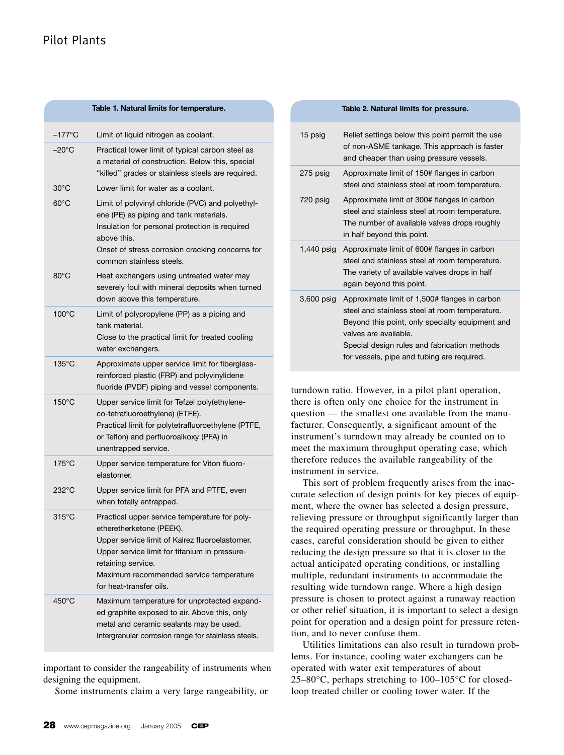| Table 1. Natural limits for temperature. |                                                                                                                                                                                                                                                                          |  |
|------------------------------------------|--------------------------------------------------------------------------------------------------------------------------------------------------------------------------------------------------------------------------------------------------------------------------|--|
| –177°C                                   | Limit of liquid nitrogen as coolant.                                                                                                                                                                                                                                     |  |
| –20°C                                    | Practical lower limit of typical carbon steel as<br>a material of construction. Below this, special<br>"killed" grades or stainless steels are required.                                                                                                                 |  |
| $30^{\circ}$ C                           | Lower limit for water as a coolant.                                                                                                                                                                                                                                      |  |
| $60^{\circ}$ C                           | Limit of polyvinyl chloride (PVC) and polyethyl-<br>ene (PE) as piping and tank materials.<br>Insulation for personal protection is required<br>above this.<br>Onset of stress corrosion cracking concerns for<br>common stainless steels.                               |  |
| $80^{\circ}$ C                           | Heat exchangers using untreated water may<br>severely foul with mineral deposits when turned<br>down above this temperature.                                                                                                                                             |  |
| $100^{\circ}$ C                          | Limit of polypropylene (PP) as a piping and<br>tank material.<br>Close to the practical limit for treated cooling<br>water exchangers.                                                                                                                                   |  |
| $135^{\circ}$ C                          | Approximate upper service limit for fiberglass-<br>reinforced plastic (FRP) and polyvinylidene<br>fluoride (PVDF) piping and vessel components.                                                                                                                          |  |
| $150^{\circ}$ C                          | Upper service limit for Tefzel poly(ethylene-<br>co-tetrafluoroethylene) (ETFE).<br>Practical limit for polytetrafluoroethylene (PTFE,<br>or Teflon) and perfluoroalkoxy (PFA) in<br>unentrapped service.                                                                |  |
| $175^{\circ}$ C                          | Upper service temperature for Viton fluoro-<br>elastomer.                                                                                                                                                                                                                |  |
| 232°C                                    | Upper service limit for PFA and PTFE, even<br>when totally entrapped.                                                                                                                                                                                                    |  |
| $315^{\circ}$ C                          | Practical upper service temperature for poly-<br>etheretherketone (PEEK).<br>Upper service limit of Kalrez fluoroelastomer.<br>Upper service limit for titanium in pressure-<br>retaining service.<br>Maximum recommended service temperature<br>for heat-transfer oils. |  |
| 450°C                                    | Maximum temperature for unprotected expand-<br>ed graphite exposed to air. Above this, only<br>metal and ceramic sealants may be used.<br>Intergranular corrosion range for stainless steels.                                                                            |  |

important to consider the rangeability of instruments when designing the equipment.

Some instruments claim a very large rangeability, or

|  | 15 psig      | Relief settings below this point permit the use<br>of non-ASME tankage. This approach is faster<br>and cheaper than using pressure vessels.                                                                                                                               |
|--|--------------|---------------------------------------------------------------------------------------------------------------------------------------------------------------------------------------------------------------------------------------------------------------------------|
|  | 275 psig     | Approximate limit of 150# flanges in carbon<br>steel and stainless steel at room temperature.                                                                                                                                                                             |
|  | 720 psig     | Approximate limit of 300# flanges in carbon<br>steel and stainless steel at room temperature.<br>The number of available valves drops roughly<br>in half beyond this point.                                                                                               |
|  |              | 1,440 psig Approximate limit of 600# flanges in carbon<br>steel and stainless steel at room temperature.<br>The variety of available valves drops in half<br>again beyond this point.                                                                                     |
|  | $3,600$ psig | Approximate limit of 1,500# flanges in carbon<br>steel and stainless steel at room temperature.<br>Beyond this point, only specialty equipment and<br>valves are available.<br>Special design rules and fabrication methods<br>for vessels, pipe and tubing are required. |

**Table 2. Natural limits for pressure.**

turndown ratio. However, in a pilot plant operation, there is often only one choice for the instrument in question — the smallest one available from the manufacturer. Consequently, a significant amount of the instrument's turndown may already be counted on to meet the maximum throughput operating case, which therefore reduces the available rangeability of the instrument in service.

This sort of problem frequently arises from the inaccurate selection of design points for key pieces of equipment, where the owner has selected a design pressure, relieving pressure or throughput significantly larger than the required operating pressure or throughput. In these cases, careful consideration should be given to either reducing the design pressure so that it is closer to the actual anticipated operating conditions, or installing multiple, redundant instruments to accommodate the resulting wide turndown range. Where a high design pressure is chosen to protect against a runaway reaction or other relief situation, it is important to select a design point for operation and a design point for pressure retention, and to never confuse them.

Utilities limitations can also result in turndown problems. For instance, cooling water exchangers can be operated with water exit temperatures of about  $25-80$ °C, perhaps stretching to 100–105°C for closedloop treated chiller or cooling tower water. If the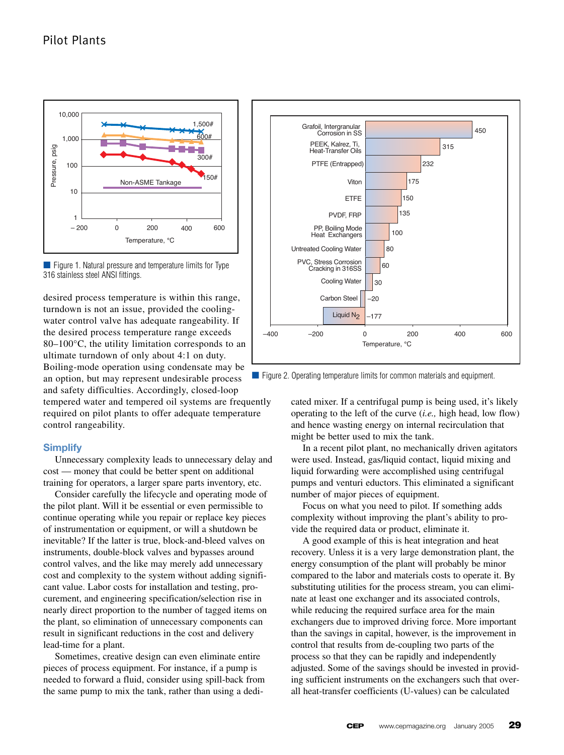



desired process temperature is within this range, turndown is not an issue, provided the coolingwater control valve has adequate rangeability. If the desired process temperature range exceeds 80–100°C, the utility limitation corresponds to an ultimate turndown of only about 4:1 on duty. Boiling-mode operation using condensate may be an option, but may represent undesirable process and safety difficulties. Accordingly, closed-loop tempered water and tempered oil systems are frequently required on pilot plants to offer adequate temperature control rangeability.

#### **Simplify**

Unnecessary complexity leads to unnecessary delay and cost — money that could be better spent on additional training for operators, a larger spare parts inventory, etc.

Consider carefully the lifecycle and operating mode of the pilot plant. Will it be essential or even permissible to continue operating while you repair or replace key pieces of instrumentation or equipment, or will a shutdown be inevitable? If the latter is true, block-and-bleed valves on instruments, double-block valves and bypasses around control valves, and the like may merely add unnecessary cost and complexity to the system without adding significant value. Labor costs for installation and testing, procurement, and engineering specification/selection rise in nearly direct proportion to the number of tagged items on the plant, so elimination of unnecessary components can result in significant reductions in the cost and delivery lead-time for a plant.

Sometimes, creative design can even eliminate entire pieces of process equipment. For instance, if a pump is needed to forward a fluid, consider using spill-back from the same pump to mix the tank, rather than using a dedi-



■ Figure 2. Operating temperature limits for common materials and equipment.

cated mixer. If a centrifugal pump is being used, it's likely operating to the left of the curve (*i.e.,* high head, low flow) and hence wasting energy on internal recirculation that might be better used to mix the tank.

In a recent pilot plant, no mechanically driven agitators were used. Instead, gas/liquid contact, liquid mixing and liquid forwarding were accomplished using centrifugal pumps and venturi eductors. This eliminated a significant number of major pieces of equipment.

Focus on what you need to pilot. If something adds complexity without improving the plant's ability to provide the required data or product, eliminate it.

A good example of this is heat integration and heat recovery. Unless it is a very large demonstration plant, the energy consumption of the plant will probably be minor compared to the labor and materials costs to operate it. By substituting utilities for the process stream, you can eliminate at least one exchanger and its associated controls, while reducing the required surface area for the main exchangers due to improved driving force. More important than the savings in capital, however, is the improvement in control that results from de-coupling two parts of the process so that they can be rapidly and independently adjusted. Some of the savings should be invested in providing sufficient instruments on the exchangers such that overall heat-transfer coefficients (U-values) can be calculated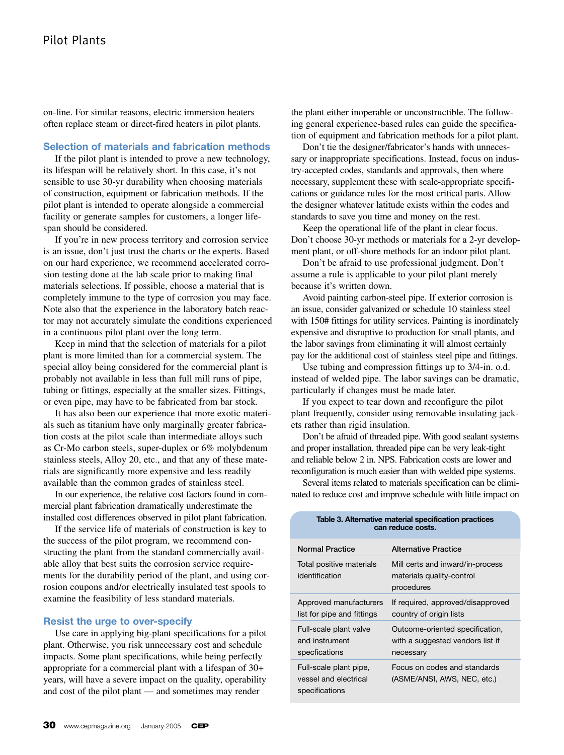on-line. For similar reasons, electric immersion heaters often replace steam or direct-fired heaters in pilot plants.

#### **Selection of materials and fabrication methods**

If the pilot plant is intended to prove a new technology, its lifespan will be relatively short. In this case, it's not sensible to use 30-yr durability when choosing materials of construction, equipment or fabrication methods. If the pilot plant is intended to operate alongside a commercial facility or generate samples for customers, a longer lifespan should be considered.

If you're in new process territory and corrosion service is an issue, don't just trust the charts or the experts. Based on our hard experience, we recommend accelerated corrosion testing done at the lab scale prior to making final materials selections. If possible, choose a material that is completely immune to the type of corrosion you may face. Note also that the experience in the laboratory batch reactor may not accurately simulate the conditions experienced in a continuous pilot plant over the long term.

Keep in mind that the selection of materials for a pilot plant is more limited than for a commercial system. The special alloy being considered for the commercial plant is probably not available in less than full mill runs of pipe, tubing or fittings, especially at the smaller sizes. Fittings, or even pipe, may have to be fabricated from bar stock.

It has also been our experience that more exotic materials such as titanium have only marginally greater fabrication costs at the pilot scale than intermediate alloys such as Cr-Mo carbon steels, super-duplex or 6% molybdenum stainless steels, Alloy 20, etc., and that any of these materials are significantly more expensive and less readily available than the common grades of stainless steel.

In our experience, the relative cost factors found in commercial plant fabrication dramatically underestimate the installed cost differences observed in pilot plant fabrication.

If the service life of materials of construction is key to the success of the pilot program, we recommend constructing the plant from the standard commercially available alloy that best suits the corrosion service requirements for the durability period of the plant, and using corrosion coupons and/or electrically insulated test spools to examine the feasibility of less standard materials.

#### **Resist the urge to over-specify**

Use care in applying big-plant specifications for a pilot plant. Otherwise, you risk unnecessary cost and schedule impacts. Some plant specifications, while being perfectly appropriate for a commercial plant with a lifespan of 30+ years, will have a severe impact on the quality, operability and cost of the pilot plant — and sometimes may render

the plant either inoperable or unconstructible. The following general experience-based rules can guide the specification of equipment and fabrication methods for a pilot plant.

Don't tie the designer/fabricator's hands with unnecessary or inappropriate specifications. Instead, focus on industry-accepted codes, standards and approvals, then where necessary, supplement these with scale-appropriate specifications or guidance rules for the most critical parts. Allow the designer whatever latitude exists within the codes and standards to save you time and money on the rest.

Keep the operational life of the plant in clear focus. Don't choose 30-yr methods or materials for a 2-yr development plant, or off-shore methods for an indoor pilot plant.

Don't be afraid to use professional judgment. Don't assume a rule is applicable to your pilot plant merely because it's written down.

Avoid painting carbon-steel pipe. If exterior corrosion is an issue, consider galvanized or schedule 10 stainless steel with 150# fittings for utility services. Painting is inordinately expensive and disruptive to production for small plants, and the labor savings from eliminating it will almost certainly pay for the additional cost of stainless steel pipe and fittings.

Use tubing and compression fittings up to 3/4-in. o.d. instead of welded pipe. The labor savings can be dramatic, particularly if changes must be made later.

If you expect to tear down and reconfigure the pilot plant frequently, consider using removable insulating jackets rather than rigid insulation.

Don't be afraid of threaded pipe. With good sealant systems and proper installation, threaded pipe can be very leak-tight and reliable below 2 in. NPS. Fabrication costs are lower and reconfiguration is much easier than with welded pipe systems.

Several items related to materials specification can be eliminated to reduce cost and improve schedule with little impact on

| Table 3. Alternative material specification practices<br>can reduce costs. |                                                                                  |  |
|----------------------------------------------------------------------------|----------------------------------------------------------------------------------|--|
| <b>Normal Practice</b>                                                     | Alternative Practice                                                             |  |
| Total positive materials<br>identification                                 | Mill certs and inward/in-process<br>materials quality-control<br>procedures      |  |
| Approved manufacturers<br>list for pipe and fittings                       | If required, approved/disapproved<br>country of origin lists                     |  |
| Full-scale plant valve<br>and instrument<br>specfications                  | Outcome-oriented specification,<br>with a suggested vendors list if<br>necessary |  |
| Full-scale plant pipe,<br>vessel and electrical<br>specifications          | Focus on codes and standards<br>(ASME/ANSI, AWS, NEC, etc.)                      |  |